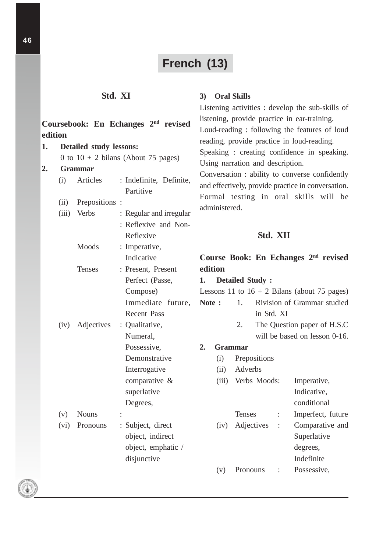## **French (13)**

**3) Oral Skills**

Listening activities : develop the sub-skills of

## **Std. XI**

## **Coursebook: En Echanges 2nd revised edition 1. Detailed study lessons:** 0 to  $10 + 2$  bilans (About 75 pages) **2. Grammar** (i) Articles : Indefinite, Definite, Partitive (ii) Prepositions : (iii) Verbs : Regular and irregular : Reflexive and Non-Reflexive Moods : Imperative, Indicative Tenses : Present, Present Perfect (Passe, Compose) Immediate future, Recent Pass (iv) Adjectives : Qualitative, Numeral, Possessive, Demonstrative Interrogative comparative & superlative Degrees, (v) Nouns : (vi) Pronouns : Subject, direct object, indirect object, emphatic / disjunctive listening, provide practice in ear-training. Loud-reading : following the features of loud reading, provide practice in loud-reading. Speaking : creating confidence in speaking. Using narration and description. Conversation : ability to converse confidently and effectively, provide practice in conversation. Formal testing in oral skills will be administered. **Std. XII Course Book: En Echanges 2nd revised edition 1. Detailed Study :** Lessons 11 to  $16 + 2$  Bilans (about 75 pages) Note : 1. Rivision of Grammar studied in Std. XI 2. The Question paper of H.S.C will be based on lesson 0-16. **2. Grammar** (i) Prepositions (ii) Adverbs (iii) Verbs Moods: Imperative, Indicative, conditional Tenses : Imperfect, future (iv) Adjectives : Comparative and Superlative degrees, Indefinite (v) Pronouns : Possessive,